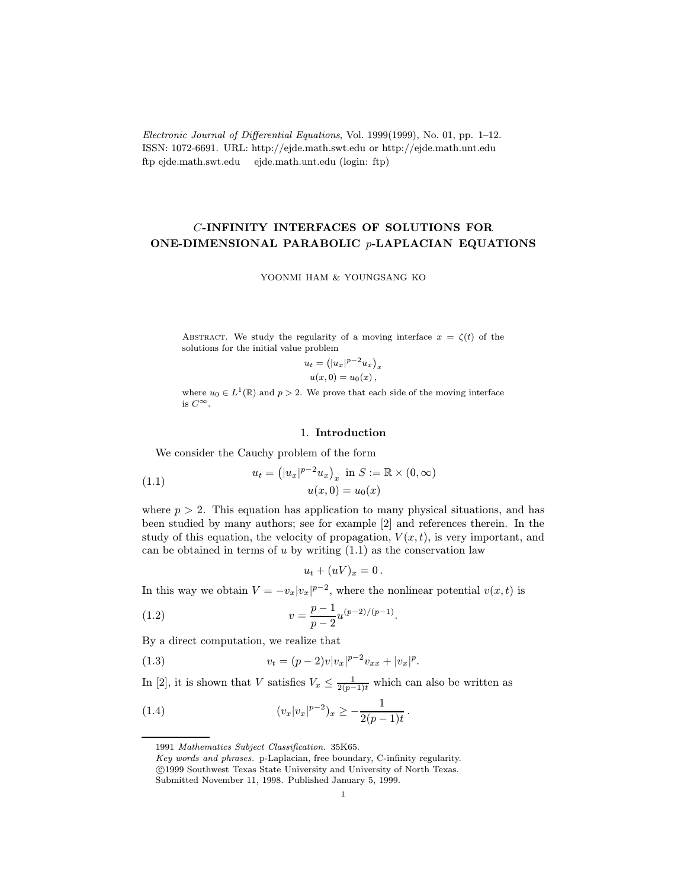Electronic Journal of Differential Equations, Vol. 1999(1999), No. 01, pp. 1–12. ISSN: 1072-6691. URL: http://ejde.math.swt.edu or http://ejde.math.unt.edu ftp ejde.math.swt.edu ejde.math.unt.edu (login: ftp)

# C-INFINITY INTERFACES OF SOLUTIONS FOR ONE-DIMENSIONAL PARABOLIC p-LAPLACIAN EQUATIONS

YOONMI HAM & YOUNGSANG KO

ABSTRACT. We study the regularity of a moving interface  $x = \zeta(t)$  of the solutions for the initial value problem

$$
u_t = (|u_x|^{p-2}u_x)_x
$$
  

$$
u(x, 0) = u_0(x),
$$

where  $u_0 \in L^1(\mathbb{R})$  and  $p > 2$ . We prove that each side of the moving interface is  $C^{\infty}$ .

## 1. Introduction

We consider the Cauchy problem of the form

(1.1) 
$$
u_t = (|u_x|^{p-2} u_x)_x \text{ in } S := \mathbb{R} \times (0, \infty)
$$

$$
u(x, 0) = u_0(x)
$$

where  $p > 2$ . This equation has application to many physical situations, and has been studied by many authors; see for example [2] and references therein. In the study of this equation, the velocity of propagation,  $V(x, t)$ , is very important, and can be obtained in terms of  $u$  by writing  $(1.1)$  as the conservation law

$$
u_t + (uV)_x = 0.
$$

In this way we obtain  $V = -v_x|v_x|^{p-2}$ , where the nonlinear potential  $v(x, t)$  is

(1.2) 
$$
v = \frac{p-1}{p-2}u^{(p-2)/(p-1)}.
$$

By a direct computation, we realize that

(1.3) 
$$
v_t = (p-2)v|v_x|^{p-2}v_{xx} + |v_x|^p.
$$

In [2], it is shown that V satisfies  $V_x \leq \frac{1}{2(p-1)t}$  which can also be written as

(1.4) 
$$
(v_x|v_x|^{p-2})_x \geq -\frac{1}{2(p-1)t}.
$$

<sup>1991</sup> Mathematics Subject Classification. 35K65.

Key words and phrases. p-Laplacian, free boundary, C-infinity regularity. c 1999 Southwest Texas State University and University of North Texas.

Submitted November 11, 1998. Published January 5, 1999.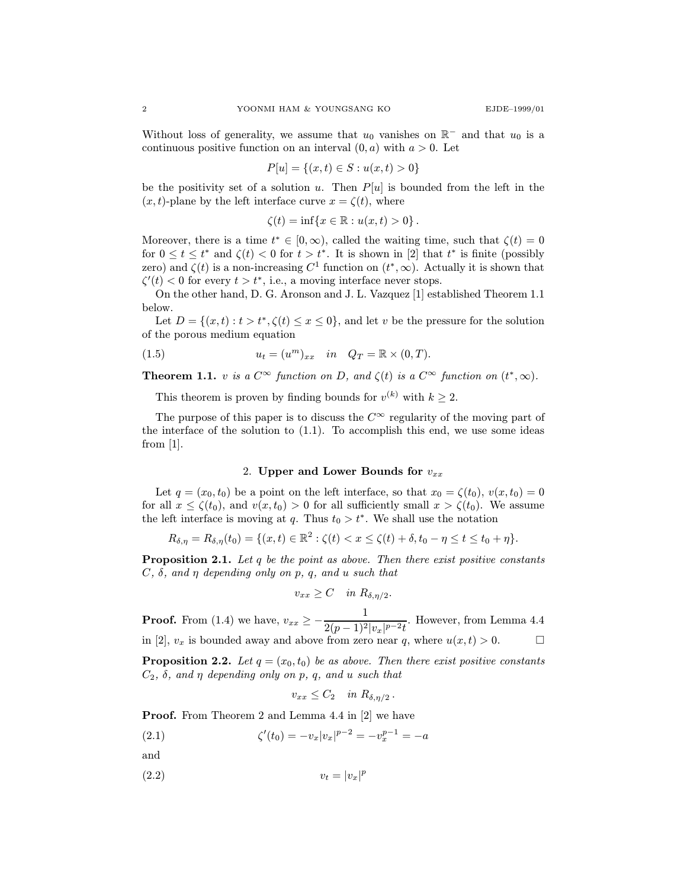Without loss of generality, we assume that  $u_0$  vanishes on  $\mathbb{R}^-$  and that  $u_0$  is a continuous positive function on an interval  $(0, a)$  with  $a > 0$ . Let

$$
P[u] = \{(x, t) \in S : u(x, t) > 0\}
$$

be the positivity set of a solution u. Then  $P[u]$  is bounded from the left in the  $(x, t)$ -plane by the left interface curve  $x = \zeta(t)$ , where

$$
\zeta(t) = \inf\{x \in \mathbb{R} : u(x, t) > 0\}.
$$

Moreover, there is a time  $t^* \in [0,\infty)$ , called the waiting time, such that  $\zeta(t)=0$ for  $0 \le t \le t^*$  and  $\zeta(t) < 0$  for  $t > t^*$ . It is shown in [2] that  $t^*$  is finite (possibly zero) and  $\zeta(t)$  is a non-increasing  $C^1$  function on  $(t^*,\infty)$ . Actually it is shown that  $\zeta'(t) < 0$  for every  $t > t^*$ , i.e., a moving interface never stops.

On the other hand, D. G. Aronson and J. L. Vazquez [1] established Theorem 1.1 below.

Let  $D = \{(x, t): t > t^*, \zeta(t) \le x \le 0\}$ , and let v be the pressure for the solution of the porous medium equation

(1.5) 
$$
u_t = (u^m)_{xx} \quad in \quad Q_T = \mathbb{R} \times (0,T).
$$

**Theorem 1.1.** v is a  $C^{\infty}$  function on D, and  $\zeta(t)$  is a  $C^{\infty}$  function on  $(t^*,\infty)$ .

This theorem is proven by finding bounds for  $v^{(k)}$  with  $k \geq 2$ .

The purpose of this paper is to discuss the  $C^{\infty}$  regularity of the moving part of the interface of the solution to  $(1.1)$ . To accomplish this end, we use some ideas from [1].

#### 2. Upper and Lower Bounds for  $v_{xx}$

Let  $q = (x_0, t_0)$  be a point on the left interface, so that  $x_0 = \zeta(t_0), v(x, t_0) = 0$ for all  $x \le \zeta(t_0)$ , and  $v(x, t_0) > 0$  for all sufficiently small  $x > \zeta(t_0)$ . We assume the left interface is moving at q. Thus  $t_0 > t^*$ . We shall use the notation

$$
R_{\delta,\eta} = R_{\delta,\eta}(t_0) = \{(x,t) \in \mathbb{R}^2 : \zeta(t) < x \leq \zeta(t) + \delta, t_0 - \eta \leq t \leq t_0 + \eta\}.
$$

**Proposition 2.1.** Let q be the point as above. Then there exist positive constants  $C, \delta, \text{ and } \eta \text{ depending only on } p, q, \text{ and } u \text{ such that}$ 

$$
v_{xx} \ge C \quad in \; R_{\delta,\eta/2}.
$$

**Proof.** From (1.4) we have,  $v_{xx} \ge -\frac{1}{2(x-1)^2}$  $\frac{1}{2(p-1)^2|v_x|^{p-2}t}$ . However, from Lemma 4.4 in [2],  $v_x$  is bounded away and above from zero near q, where  $u(x,t) > 0$ .

**Proposition 2.2.** Let  $q = (x_0, t_0)$  be as above. Then there exist positive constants  $C_2$ ,  $\delta$ , and  $\eta$  depending only on p, q, and u such that

$$
v_{xx} \leq C_2 \quad \text{in } R_{\delta, \eta/2} \, .
$$

Proof. From Theorem 2 and Lemma 4.4 in [2] we have

(2.1) 
$$
\zeta'(t_0) = -v_x |v_x|^{p-2} = -v_x^{p-1} = -a
$$

and

$$
(2.2) \t\t v_t = |v_x|^p
$$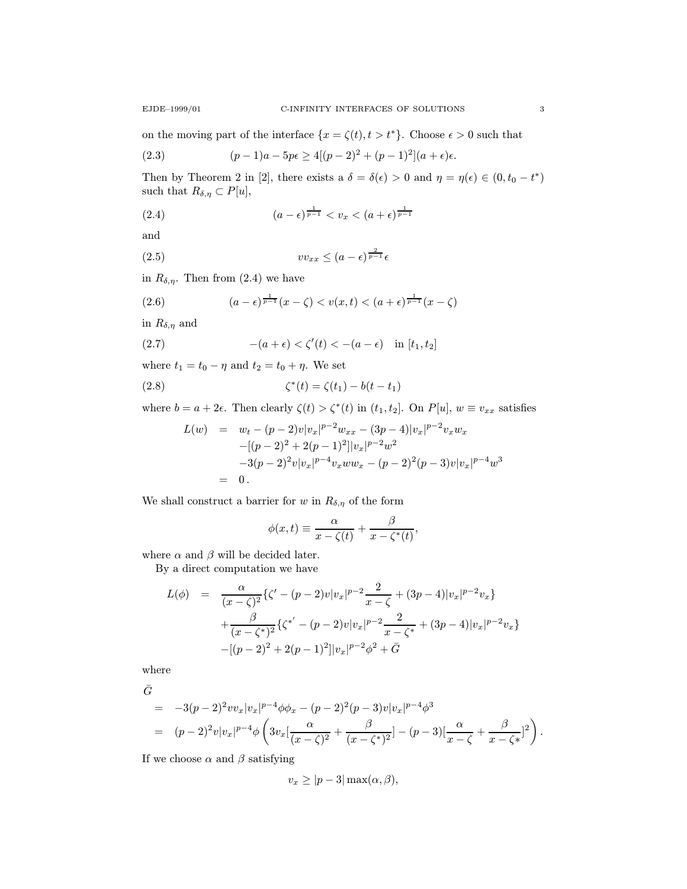on the moving part of the interface  $\{x = \zeta(t), t > t^*\}$ . Choose  $\epsilon > 0$  such that

(2.3) 
$$
(p-1)a - 5p\epsilon \ge 4[(p-2)^2 + (p-1)^2](a+\epsilon)\epsilon.
$$

Then by Theorem 2 in [2], there exists a  $\delta = \delta(\epsilon) > 0$  and  $\eta = \eta(\epsilon) \in (0, t_0 - t^*)$ such that  $R_{\delta,\eta} \subset P[u],$ 

(2.4) 
$$
(a - \epsilon)^{\frac{1}{p-1}} < v_x < (a + \epsilon)^{\frac{1}{p-1}}
$$

and

$$
(2.5) \t v v_{xx} \le (a - \epsilon)^{\frac{2}{p-1}} \epsilon
$$

in  $R_{\delta,\eta}$ . Then from (2.4) we have

(2.6) 
$$
(a - \epsilon)^{\frac{1}{p-1}}(x - \zeta) < v(x, t) < (a + \epsilon)^{\frac{1}{p-1}}(x - \zeta)
$$

in  $R_{\delta,\eta}$  and

(2.7) 
$$
-(a+\epsilon) < \zeta'(t) < -(a-\epsilon) \quad \text{in } [t_1, t_2]
$$

where  $t_1 = t_0 - \eta$  and  $t_2 = t_0 + \eta$ . We set

(2.8) 
$$
\zeta^*(t) = \zeta(t_1) - b(t - t_1)
$$

where  $b = a + 2\epsilon$ . Then clearly  $\zeta(t) > \zeta^*(t)$  in  $(t_1, t_2]$ . On  $P[u]$ ,  $w \equiv v_{xx}$  satisfies

$$
L(w) = w_t - (p-2)v|v_x|^{p-2}w_{xx} - (3p-4)|v_x|^{p-2}v_xw_x
$$
  

$$
-[(p-2)^2 + 2(p-1)^2]|v_x|^{p-2}w^2
$$
  

$$
-3(p-2)^2v|v_x|^{p-4}v_xww_x - (p-2)^2(p-3)v|v_x|^{p-4}w^3
$$
  

$$
= 0.
$$

We shall construct a barrier for w in  $R_{\delta,\eta}$  of the form

$$
\phi(x,t) \equiv \frac{\alpha}{x-\zeta(t)} + \frac{\beta}{x-\zeta^*(t)},
$$

where  $\alpha$  and  $\beta$  will be decided later.

By a direct computation we have

$$
L(\phi) = \frac{\alpha}{(x-\zeta)^2} \{ \zeta' - (p-2)v|v_x|^{p-2} \frac{2}{x-\zeta} + (3p-4)|v_x|^{p-2} v_x \} + \frac{\beta}{(x-\zeta^*)^2} \{ \zeta^{*'} - (p-2)v|v_x|^{p-2} \frac{2}{x-\zeta^*} + (3p-4)|v_x|^{p-2} v_x \} -[(p-2)^2 + 2(p-1)^2]|v_x|^{p-2} \phi^2 + \bar{G}
$$

where

$$
\bar{G}
$$

$$
= -3(p-2)^2 v v_x |v_x|^{p-4} \phi \phi_x - (p-2)^2 (p-3) v |v_x|^{p-4} \phi^3
$$
  
= 
$$
(p-2)^2 v |v_x|^{p-4} \phi \left(3v_x \left[\frac{\alpha}{(x-\zeta)^2} + \frac{\beta}{(x-\zeta^*)^2}\right] - (p-3) \left[\frac{\alpha}{x-\zeta} + \frac{\beta}{x-\zeta^*}\right]^2\right).
$$

If we choose  $\alpha$  and  $\beta$  satisfying

$$
v_x \ge |p-3| \max(\alpha, \beta),
$$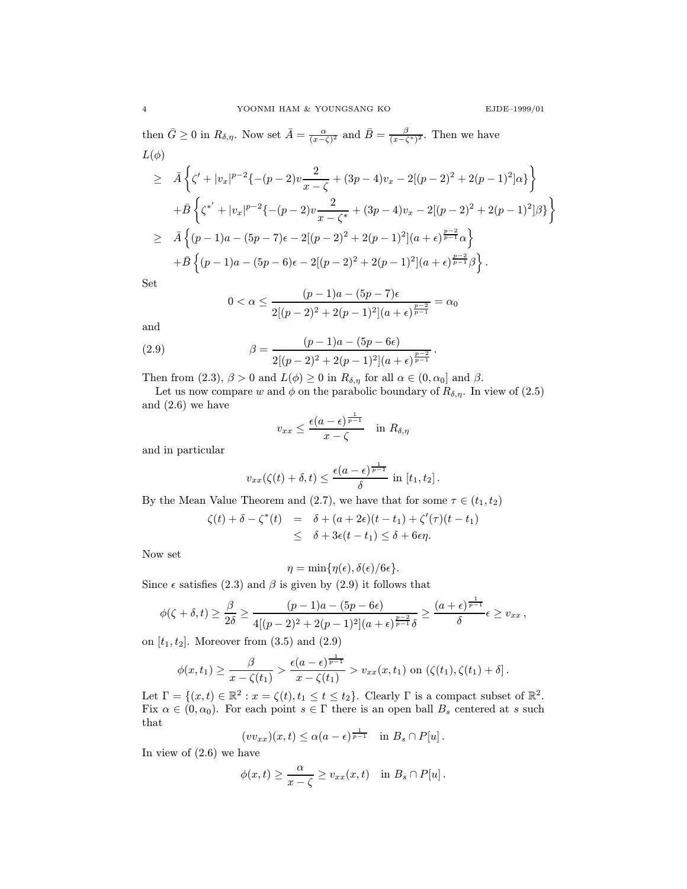then  $\bar{G} \geq 0$  in  $R_{\delta,\eta}$ . Now set  $\bar{A} = \frac{\alpha}{(x-\zeta)^2}$  and  $\bar{B} = \frac{\beta}{(x-\zeta^*)^2}$ . Then we have  $L(\phi)$ 

$$
\geq \bar{A}\left\{\zeta' + |v_x|^{p-2}\{- (p-2)v\frac{2}{x-\zeta} + (3p-4)v_x - 2[(p-2)^2 + 2(p-1)^2]\alpha\}\right\}
$$
  
+ $\bar{B}\left\{\zeta^{*'} + |v_x|^{p-2}\{- (p-2)v\frac{2}{x-\zeta^*} + (3p-4)v_x - 2[(p-2)^2 + 2(p-1)^2]\beta\}\right\}$   

$$
\geq \bar{A}\left\{(p-1)a - (5p-7)\epsilon - 2[(p-2)^2 + 2(p-1)^2](a+\epsilon)^{\frac{p-2}{p-1}}\alpha\right\}
$$
  
+ $\bar{B}\left\{(p-1)a - (5p-6)\epsilon - 2[(p-2)^2 + 2(p-1)^2](a+\epsilon)^{\frac{p-2}{p-1}}\beta\right\}.$ 

Set

$$
0 < \alpha \le \frac{(p-1)a - (5p-7)\epsilon}{2[(p-2)^2 + 2(p-1)^2](a+\epsilon)^{\frac{p-2}{p-1}}} = \alpha_0
$$

and

(2.9) 
$$
\beta = \frac{(p-1)a - (5p - 6\epsilon)}{2[(p-2)^2 + 2(p-1)^2](a+\epsilon)^{\frac{p-2}{p-1}}}.
$$

Then from (2.3),  $\beta > 0$  and  $L(\phi) \ge 0$  in  $R_{\delta,\eta}$  for all  $\alpha \in (0, \alpha_0]$  and  $\beta$ .

Let us now compare w and  $\phi$  on the parabolic boundary of  $R_{\delta,\eta}$ . In view of (2.5) and (2.6) we have

$$
v_{xx} \le \frac{\epsilon (a - \epsilon)^{\frac{1}{p-1}}}{x - \zeta} \quad \text{in } R_{\delta, \eta}
$$

and in particular

$$
v_{xx}(\zeta(t)+\delta,t)\leq \frac{\epsilon(a-\epsilon)^{\frac{1}{p-1}}}{\delta}\,\,\text{in}\,\,[t_1,t_2]\,.
$$

By the Mean Value Theorem and (2.7), we have that for some  $\tau \in (t_1, t_2)$ 

$$
\zeta(t) + \delta - \zeta^*(t) = \delta + (a + 2\epsilon)(t - t_1) + \zeta'(\tau)(t - t_1)
$$
  
 
$$
\leq \delta + 3\epsilon(t - t_1) \leq \delta + 6\epsilon\eta.
$$

Now set

$$
\eta = \min\{\eta(\epsilon), \delta(\epsilon)/6\epsilon\}.
$$

Since  $\epsilon$  satisfies (2.3) and  $\beta$  is given by (2.9) it follows that

$$
\phi(\zeta+\delta,t)\geq \frac{\beta}{2\delta}\geq \frac{(p-1)a-(5p-6\epsilon)}{4[(p-2)^2+2(p-1)^2](a+\epsilon)^{\frac{p-2}{p-1}}\delta}\geq \frac{(a+\epsilon)^{\frac{1}{p-1}}}{\delta}\epsilon\geq v_{xx},
$$

on  $[t_1, t_2]$ . Moreover from  $(3.5)$  and  $(2.9)$ 

$$
\phi(x,t_1)\geq \frac{\beta}{x-\zeta(t_1)}\geq \frac{\epsilon(a-\epsilon)^{\frac{1}{p-1}}}{x-\zeta(t_1)}\geq v_{xx}(x,t_1)\,\,\text{on}\,\,(\zeta(t_1),\zeta(t_1)+\delta].
$$

Let  $\Gamma = \{(x, t) \in \mathbb{R}^2 : x = \zeta(t), t_1 \le t \le t_2\}$ . Clearly  $\Gamma$  is a compact subset of  $\mathbb{R}^2$ . Fix  $\alpha \in (0, \alpha_0)$ . For each point  $s \in \Gamma$  there is an open ball  $B_s$  centered at s such that

$$
(vv_{xx})(x,t) \leq \alpha(a-\epsilon)^{\frac{1}{p-1}} \quad \text{in } B_s \cap P[u].
$$

In view of (2.6) we have

$$
\phi(x,t) \ge \frac{\alpha}{x-\zeta} \ge v_{xx}(x,t) \quad \text{in } B_s \cap P[u].
$$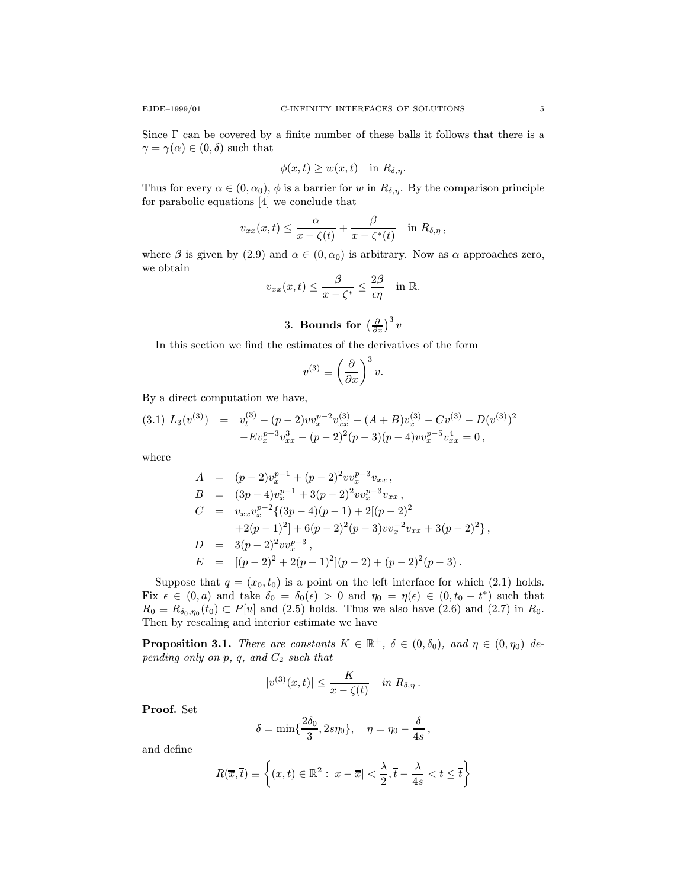Since  $\Gamma$  can be covered by a finite number of these balls it follows that there is a  $\gamma = \gamma(\alpha) \in (0, \delta)$  such that

$$
\phi(x,t) \ge w(x,t) \quad \text{in } R_{\delta,\eta}.
$$

Thus for every  $\alpha \in (0, \alpha_0)$ ,  $\phi$  is a barrier for w in  $R_{\delta,\eta}$ . By the comparison principle for parabolic equations [4] we conclude that

$$
v_{xx}(x,t) \leq \frac{\alpha}{x-\zeta(t)} + \frac{\beta}{x-\zeta^*(t)} \quad \text{in} \ R_{\delta,\eta} \ ,
$$

where  $\beta$  is given by (2.9) and  $\alpha \in (0, \alpha_0)$  is arbitrary. Now as  $\alpha$  approaches zero, we obtain

$$
v_{xx}(x,t) \leq \frac{\beta}{x-\zeta^*} \leq \frac{2\beta}{\epsilon \eta} \quad \text{in } \mathbb{R}.
$$

3. **Bounds for** 
$$
\left(\frac{\partial}{\partial x}\right)^3 v
$$

In this section we find the estimates of the derivatives of the form

$$
v^{(3)} \equiv \left(\frac{\partial}{\partial x}\right)^3 v.
$$

By a direct computation we have,

$$
(3.1) \ L_3(v^{(3)}) = v_t^{(3)} - (p-2)vv_x^{p-2}v_{xx}^{(3)} - (A+B)v_x^{(3)} - Cv^{(3)} - D(v^{(3)})^2 - Ev_x^{p-3}v_{xx}^3 - (p-2)^2(p-3)(p-4)vv_x^{p-5}v_{xx}^4 = 0,
$$

where

$$
A = (p-2)v_x^{p-1} + (p-2)^2 vv_x^{p-3} v_{xx},
$$
  
\n
$$
B = (3p-4)v_x^{p-1} + 3(p-2)^2 vv_x^{p-3} v_{xx},
$$
  
\n
$$
C = v_{xx}v_x^{p-2}\{(3p-4)(p-1) + 2[(p-2)^2
$$
  
\n
$$
+2(p-1)^2] + 6(p-2)^2(p-3)vv_x^{-2} v_{xx} + 3(p-2)^2\},
$$
  
\n
$$
D = 3(p-2)^2 vv_x^{p-3},
$$
  
\n
$$
E = [(p-2)^2 + 2(p-1)^2](p-2) + (p-2)^2(p-3).
$$

Suppose that  $q = (x_0, t_0)$  is a point on the left interface for which (2.1) holds. Fix  $\epsilon \in (0, a)$  and take  $\delta_0 = \delta_0(\epsilon) > 0$  and  $\eta_0 = \eta(\epsilon) \in (0, t_0 - t^*)$  such that  $R_0 \equiv R_{\delta_0,\eta_0}(t_0) \subset P[u]$  and  $(2.5)$  holds. Thus we also have  $(2.6)$  and  $(2.7)$  in  $R_0$ . Then by rescaling and interior estimate we have

**Proposition 3.1.** There are constants  $K \in \mathbb{R}^+$ ,  $\delta \in (0, \delta_0)$ , and  $\eta \in (0, \eta_0)$  depending only on  $p, q$ , and  $C_2$  such that

$$
|v^{(3)}(x,t)| \leq \frac{K}{x-\zeta(t)} \quad \text{in} \ R_{\delta,\eta} \, .
$$

Proof. Set

$$
\delta=\min\{\frac{2\delta_0}{3},2s\eta_0\},\quad \eta=\eta_0-\frac{\delta}{4s}\,,
$$

and define

$$
R(\overline{x}, \overline{t}) \equiv \left\{ (x, t) \in \mathbb{R}^2 : |x - \overline{x}| < \frac{\lambda}{2}, \overline{t} - \frac{\lambda}{4s} < t \leq \overline{t} \right\}
$$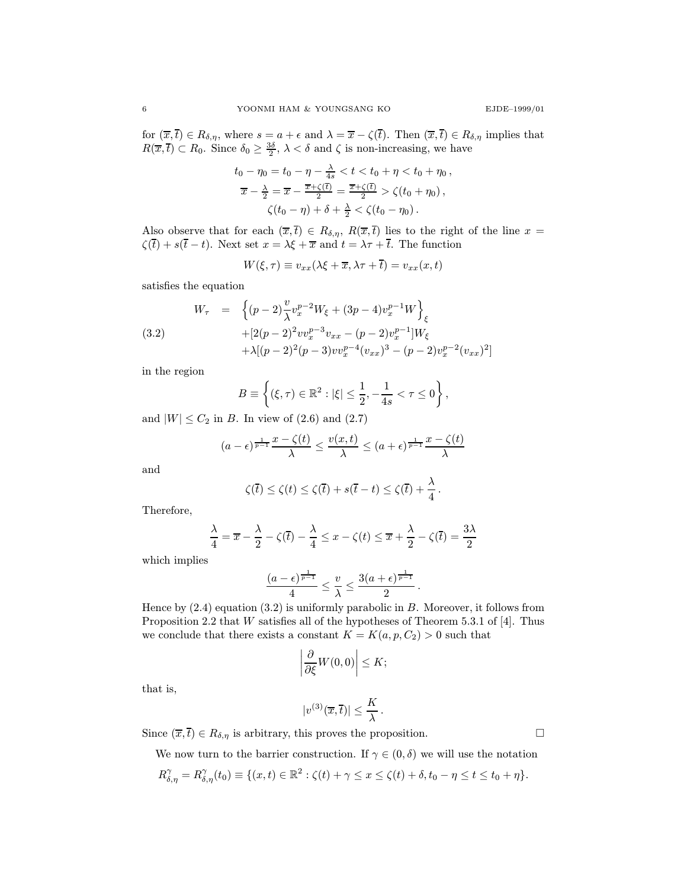for  $(\overline{x},\overline{t}) \in R_{\delta,\eta}$ , where  $s = a + \epsilon$  and  $\lambda = \overline{x} - \zeta(\overline{t})$ . Then  $(\overline{x},\overline{t}) \in R_{\delta,\eta}$  implies that  $R(\overline{x},\overline{t}) \subset R_0$ . Since  $\delta_0 \geq \frac{3\delta}{2}$ ,  $\lambda < \delta$  and  $\zeta$  is non-increasing, we have

$$
t_0 - \eta_0 = t_0 - \eta - \frac{\lambda}{4s} < t < t_0 + \eta < t_0 + \eta_0,
$$
\n
$$
\overline{x} - \frac{\lambda}{2} = \overline{x} - \frac{\overline{x} + \zeta(\overline{t})}{2} = \frac{\overline{x} + \zeta(\overline{t})}{2} > \zeta(t_0 + \eta_0),
$$
\n
$$
\zeta(t_0 - \eta) + \delta + \frac{\lambda}{2} < \zeta(t_0 - \eta_0).
$$

Also observe that for each  $(\overline{x},\overline{t}) \in R_{\delta,\eta}, R(\overline{x},\overline{t})$  lies to the right of the line  $x =$  $\zeta(\bar{t}) + s(\bar{t} - t)$ . Next set  $x = \lambda \xi + \bar{x}$  and  $t = \lambda \tau + \bar{t}$ . The function

$$
W(\xi,\tau) \equiv v_{xx}(\lambda\xi + \overline{x}, \lambda\tau + \overline{t}) = v_{xx}(x,t)
$$

satisfies the equation

(3.2)  
\n
$$
W_{\tau} = \left\{ (p-2) \frac{v}{\lambda} v_x^{p-2} W_{\xi} + (3p-4) v_x^{p-1} W \right\}_{\xi}
$$
\n
$$
+ [2(p-2)^2 v v_x^{p-3} v_{xx} - (p-2) v_x^{p-1}] W_{\xi}
$$
\n
$$
+ \lambda [(p-2)^2 (p-3) v v_x^{p-4} (v_{xx})^3 - (p-2) v_x^{p-2} (v_{xx})^2]
$$

in the region

$$
B \equiv \left\{ (\xi, \tau) \in \mathbb{R}^2 : |\xi| \le \frac{1}{2}, -\frac{1}{4s} < \tau \le 0 \right\},\
$$

and  $|W| \leq C_2$  in B. In view of (2.6) and (2.7)

$$
(a - \epsilon)^{\frac{1}{p-1}} \frac{x - \zeta(t)}{\lambda} \le \frac{v(x, t)}{\lambda} \le (a + \epsilon)^{\frac{1}{p-1}} \frac{x - \zeta(t)}{\lambda}
$$

and

$$
\zeta(\overline{t}) \leq \zeta(t) \leq \zeta(\overline{t}) + s(\overline{t} - t) \leq \zeta(\overline{t}) + \frac{\lambda}{4}.
$$

Therefore,

$$
\frac{\lambda}{4} = \overline{x} - \frac{\lambda}{2} - \zeta(\overline{t}) - \frac{\lambda}{4} \le x - \zeta(t) \le \overline{x} + \frac{\lambda}{2} - \zeta(\overline{t}) = \frac{3\lambda}{2}
$$

which implies

$$
\frac{(a-\epsilon)^{\frac{1}{p-1}}}{4} \leq \frac{v}{\lambda} \leq \frac{3(a+\epsilon)^{\frac{1}{p-1}}}{2}.
$$

Hence by  $(2.4)$  equation  $(3.2)$  is uniformly parabolic in  $B$ . Moreover, it follows from Proposition 2.2 that W satisfies all of the hypotheses of Theorem 5.3.1 of [4]. Thus we conclude that there exists a constant  $K = K(a, p, C_2) > 0$  such that

$$
\left|\frac{\partial}{\partial \xi}W(0,0)\right| \leq K;
$$

that is,

$$
|v^{(3)}(\overline{x},\overline{t})|\leq \frac{K}{\lambda}.
$$

Since  $(\overline{x},\overline{t}) \in R_{\delta,\eta}$  is arbitrary, this proves the proposition.

We now turn to the barrier construction. If  $\gamma \in (0, \delta)$  we will use the notation

$$
R^{\gamma}_{\delta,\eta}=R^{\gamma}_{\delta,\eta}(t_0)\equiv\{(x,t)\in\mathbb{R}^2:\zeta(t)+\gamma\leq x\leq\zeta(t)+\delta,t_0-\eta\leq t\leq t_0+\eta\}.
$$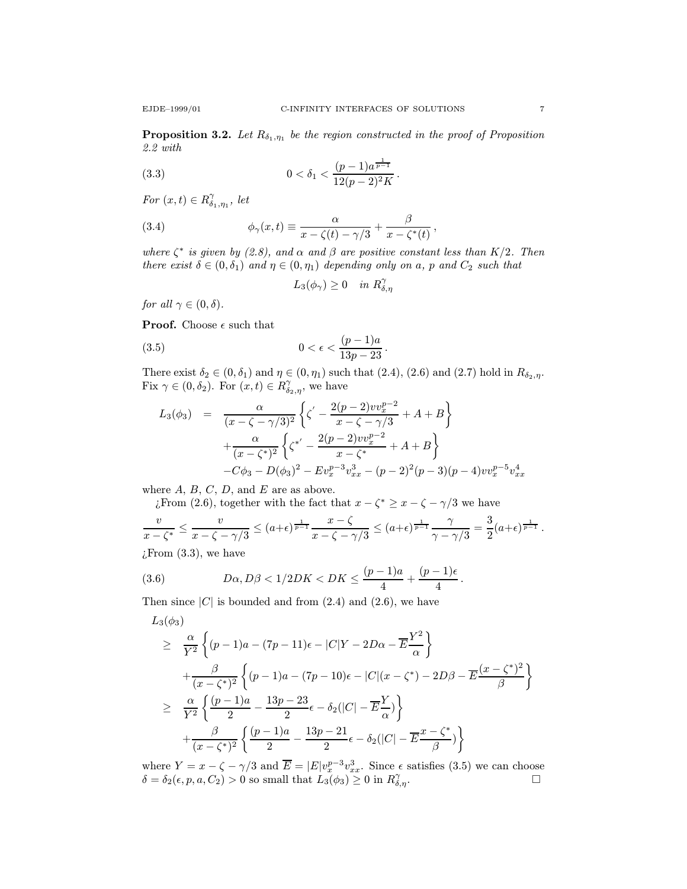2.2 with

(3.3) 
$$
0 < \delta_1 < \frac{(p-1)a^{\frac{1}{p-1}}}{12(p-2)^2 K}.
$$

For  $(x,t) \in R^{\gamma}_{\delta_1,\eta_1}$ , let

(3.4) 
$$
\phi_{\gamma}(x,t) \equiv \frac{\alpha}{x-\zeta(t)-\gamma/3} + \frac{\beta}{x-\zeta^*(t)},
$$

where  $\zeta^*$  is given by (2.8), and  $\alpha$  and  $\beta$  are positive constant less than  $K/2$ . Then there exist  $\delta \in (0, \delta_1)$  and  $\eta \in (0, \eta_1)$  depending only on a, p and  $C_2$  such that

$$
L_3(\phi_\gamma)\geq 0\quad\text{in }R^\gamma_{\delta,\eta}
$$

for all  $\gamma \in (0, \delta)$ .

**Proof.** Choose  $\epsilon$  such that

(3.5) 
$$
0 < \epsilon < \frac{(p-1)a}{13p - 23}.
$$

There exist  $\delta_2 \in (0, \delta_1)$  and  $\eta \in (0, \eta_1)$  such that  $(2.4)$ ,  $(2.6)$  and  $(2.7)$  hold in  $R_{\delta_2, \eta}$ . Fix  $\gamma \in (0, \delta_2)$ . For  $(x, t) \in R^{\gamma}_{\delta_2, \eta}$ , we have

$$
L_3(\phi_3) = \frac{\alpha}{(x - \zeta - \gamma/3)^2} \left\{ \zeta' - \frac{2(p-2)vv_x^{p-2}}{x - \zeta - \gamma/3} + A + B \right\} + \frac{\alpha}{(x - \zeta^*)^2} \left\{ \zeta^{*'} - \frac{2(p-2)vv_x^{p-2}}{x - \zeta^*} + A + B \right\} - C\phi_3 - D(\phi_3)^2 - Ev_x^{p-3}v_{xx}^3 - (p-2)^2(p-3)(p-4)vv_x^{p-5}v_{xx}^4
$$

where  $A, B, C, D$ , and  $E$  are as above.

¿From (2.6), together with the fact that  $x - \zeta^* \geq x - \zeta - \gamma/3$  we have

$$
\frac{v}{x-\zeta^*} \le \frac{v}{x-\zeta-\gamma/3} \le (a+\epsilon)^{\frac{1}{p-1}} \frac{x-\zeta}{x-\zeta-\gamma/3} \le (a+\epsilon)^{\frac{1}{p-1}} \frac{\gamma}{\gamma-\gamma/3} = \frac{3}{2}(a+\epsilon)^{\frac{1}{p-1}}.
$$

 $\chi$ From  $(3.3)$ , we have

(3.6) 
$$
D\alpha, D\beta < 1/2DK < DK \leq \frac{(p-1)a}{4} + \frac{(p-1)\epsilon}{4}.
$$

Then since  $|C|$  is bounded and from  $(2.4)$  and  $(2.6)$ , we have

$$
L_3(\phi_3)
$$
\n
$$
\geq \frac{\alpha}{Y^2} \left\{ (p-1)a - (7p-11)\epsilon - |C|Y - 2D\alpha - \overline{E}\frac{Y^2}{\alpha} \right\}
$$
\n
$$
+ \frac{\beta}{(x-\zeta^*)^2} \left\{ (p-1)a - (7p-10)\epsilon - |C|(x-\zeta^*) - 2D\beta - \overline{E}\frac{(x-\zeta^*)^2}{\beta} \right\}
$$
\n
$$
\geq \frac{\alpha}{Y^2} \left\{ \frac{(p-1)a}{2} - \frac{13p-23}{2}\epsilon - \delta_2(|C| - \overline{E}\frac{Y}{\alpha}) \right\}
$$
\n
$$
+ \frac{\beta}{(x-\zeta^*)^2} \left\{ \frac{(p-1)a}{2} - \frac{13p-21}{2}\epsilon - \delta_2(|C| - \overline{E}\frac{x-\zeta^*}{\beta}) \right\}
$$

where  $Y = x - \zeta - \gamma/3$  and  $\overline{E} = |E|v_x^{p-3}v_{xx}^3$ . Since  $\epsilon$  satisfies (3.5) we can choose  $\delta = \delta_2(\epsilon, p, a, C_2) > 0$  so small that  $L_3(\phi_3) \geq 0$  in  $R^{\gamma}_{\delta, \eta}$ .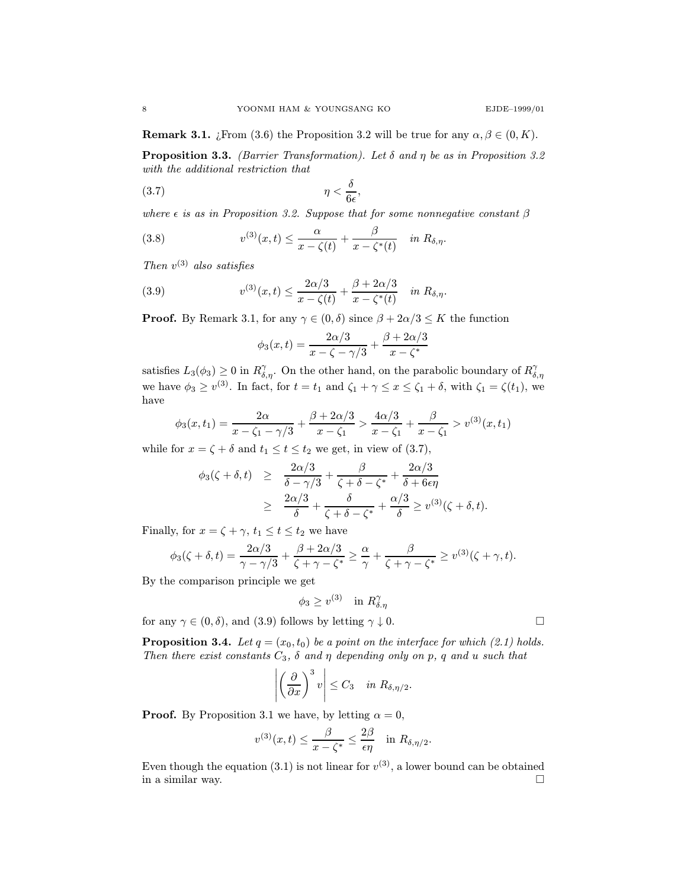**Remark 3.1.** *i*. From (3.6) the Proposition 3.2 will be true for any  $\alpha, \beta \in (0, K)$ .

**Proposition 3.3.** (Barrier Transformation). Let  $\delta$  and  $\eta$  be as in Proposition 3.2 with the additional restriction that

$$
(3.7) \t\t \eta < \frac{\delta}{6\epsilon},
$$

where  $\epsilon$  is as in Proposition 3.2. Suppose that for some nonnegative constant  $\beta$ 

(3.8) 
$$
v^{(3)}(x,t) \leq \frac{\alpha}{x-\zeta(t)} + \frac{\beta}{x-\zeta^*(t)} \quad in \ R_{\delta,\eta}.
$$

Then  $v^{(3)}$  also satisfies

(3.9) 
$$
v^{(3)}(x,t) \leq \frac{2\alpha/3}{x-\zeta(t)} + \frac{\beta + 2\alpha/3}{x-\zeta^*(t)} \quad in \ R_{\delta,\eta}.
$$

**Proof.** By Remark 3.1, for any  $\gamma \in (0, \delta)$  since  $\beta + 2\alpha/3 \leq K$  the function

$$
\phi_3(x,t) = \frac{2\alpha/3}{x-\zeta-\gamma/3} + \frac{\beta+2\alpha/3}{x-\zeta^*}
$$

satisfies  $L_3(\phi_3) \ge 0$  in  $R^{\gamma}_{\delta,\eta}$ . On the other hand, on the parabolic boundary of  $R^{\gamma}_{\delta,\eta}$ we have  $\phi_3 \ge v^{(3)}$ . In fact, for  $t = t_1$  and  $\zeta_1 + \gamma \le x \le \zeta_1 + \delta$ , with  $\zeta_1 = \zeta(t_1)$ , we have

$$
\phi_3(x,t_1) = \frac{2\alpha}{x - \zeta_1 - \gamma/3} + \frac{\beta + 2\alpha/3}{x - \zeta_1} > \frac{4\alpha/3}{x - \zeta_1} + \frac{\beta}{x - \zeta_1} > v^{(3)}(x,t_1)
$$

while for  $x = \zeta + \delta$  and  $t_1 \le t \le t_2$  we get, in view of (3.7),

$$
\begin{array}{rcl}\n\phi_3(\zeta+\delta,t) & \geq & \frac{2\alpha/3}{\delta-\gamma/3} + \frac{\beta}{\zeta+\delta-\zeta^*} + \frac{2\alpha/3}{\delta+6\epsilon\eta} \\
& \geq & \frac{2\alpha/3}{\delta} + \frac{\delta}{\zeta+\delta-\zeta^*} + \frac{\alpha/3}{\delta} \geq v^{(3)}(\zeta+\delta,t).\n\end{array}
$$

Finally, for  $x = \zeta + \gamma$ ,  $t_1 \le t \le t_2$  we have

$$
\phi_3(\zeta+\delta,t)=\frac{2\alpha/3}{\gamma-\gamma/3}+\frac{\beta+2\alpha/3}{\zeta+\gamma-\zeta^*}\geq \frac{\alpha}{\gamma}+\frac{\beta}{\zeta+\gamma-\zeta^*}\geq v^{(3)}(\zeta+\gamma,t).
$$

By the comparison principle we get

$$
\phi_3 \ge v^{(3)} \quad \text{in } R^\gamma_{\delta.\eta}
$$

for any  $\gamma \in (0, \delta)$ , and (3.9) follows by letting  $\gamma \downarrow 0$ .

**Proposition 3.4.** Let  $q = (x_0, t_0)$  be a point on the interface for which (2.1) holds. Then there exist constants  $C_3$ ,  $\delta$  and  $\eta$  depending only on p, q and u such that

$$
\left| \left( \frac{\partial}{\partial x} \right)^3 v \right| \leq C_3 \quad \text{in } R_{\delta, \eta/2}.
$$

**Proof.** By Proposition 3.1 we have, by letting  $\alpha = 0$ ,

$$
v^{(3)}(x,t) \leq \frac{\beta}{x-\zeta^*} \leq \frac{2\beta}{\epsilon \eta} \quad \text{in} \ R_{\delta,\eta/2}.
$$

Even though the equation (3.1) is not linear for  $v^{(3)}$ , a lower bound can be obtained in a similar way.  $\Box$ 

$$
\Box
$$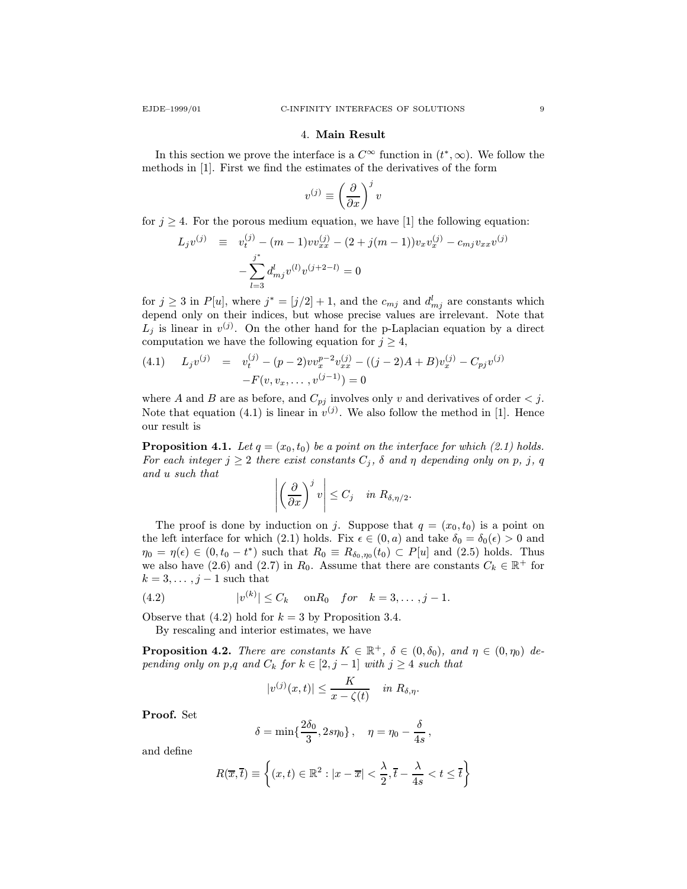#### 4. Main Result

In this section we prove the interface is a  $C^{\infty}$  function in  $(t^*, \infty)$ . We follow the methods in [1]. First we find the estimates of the derivatives of the form

$$
v^{(j)} \equiv \left(\frac{\partial}{\partial x}\right)^j v
$$

for  $j \geq 4$ . For the porous medium equation, we have [1] the following equation:

$$
L_j v^{(j)} \equiv v_t^{(j)} - (m-1) v v_{xx}^{(j)} - (2+j(m-1)) v_x v_x^{(j)} - c_{mj} v_{xx} v^{(j)}
$$

$$
- \sum_{l=3}^{j^*} d_{mj}^l v^{(l)} v^{(j+2-l)} = 0
$$

for  $j \geq 3$  in  $P[u]$ , where  $j^* = [j/2] + 1$ , and the  $c_{mj}$  and  $d_{mj}^l$  are constants which depend only on their indices, but whose precise values are irrelevant. Note that  $L_j$  is linear in  $v^{(j)}$ . On the other hand for the p-Laplacian equation by a direct computation we have the following equation for  $j \geq 4$ ,

(4.1) 
$$
L_j v^{(j)} = v_t^{(j)} - (p-2)v v_x^{p-2} v_{xx}^{(j)} - ((j-2)A + B)v_x^{(j)} - C_{pj} v^{(j)} - F(v, v_x, \dots, v^{(j-1)}) = 0
$$

where A and B are as before, and  $C_{pj}$  involves only v and derivatives of order  $\lt j$ . Note that equation (4.1) is linear in  $v^{(j)}$ . We also follow the method in [1]. Hence our result is

**Proposition 4.1.** Let  $q = (x_0, t_0)$  be a point on the interface for which (2.1) holds. For each integer  $j \geq 2$  there exist constants  $C_j$ ,  $\delta$  and  $\eta$  depending only on p, j, q and u such that

$$
\left| \left( \frac{\partial}{\partial x} \right)^j v \right| \leq C_j \quad \text{in } R_{\delta, \eta/2}.
$$

The proof is done by induction on j. Suppose that  $q = (x_0, t_0)$  is a point on the left interface for which (2.1) holds. Fix  $\epsilon \in (0, a)$  and take  $\delta_0 = \delta_0(\epsilon) > 0$  and  $\eta_0 = \eta(\epsilon) \in (0, t_0 - t^*)$  such that  $R_0 \equiv R_{\delta_0, \eta_0}(t_0) \subset P[u]$  and  $(2.5)$  holds. Thus we also have (2.6) and (2.7) in  $R_0$ . Assume that there are constants  $C_k \in \mathbb{R}^+$  for  $k = 3, \ldots, j - 1$  such that

(4.2) 
$$
|v^{(k)}| \leq C_k
$$
 on  $R_0$  for  $k = 3, ..., j - 1$ .

Observe that  $(4.2)$  hold for  $k = 3$  by Proposition 3.4.

By rescaling and interior estimates, we have

**Proposition 4.2.** There are constants  $K \in \mathbb{R}^+$ ,  $\delta \in (0, \delta_0)$ , and  $\eta \in (0, \eta_0)$  depending only on p,q and  $C_k$  for  $k \in [2, j - 1]$  with  $j \geq 4$  such that

$$
|v^{(j)}(x,t)| \leq \frac{K}{x-\zeta(t)} \quad \text{in $R_{\delta,\eta}$}.
$$

Proof. Set

$$
\delta = \min\{\frac{2\delta_0}{3},2s\eta_0\}\,,\quad \eta = \eta_0 - \frac{\delta}{4s}\,,
$$

and define

$$
R(\overline{x}, \overline{t}) \equiv \left\{ (x, t) \in \mathbb{R}^2 : |x - \overline{x}| < \frac{\lambda}{2}, \overline{t} - \frac{\lambda}{4s} < t \leq \overline{t} \right\}
$$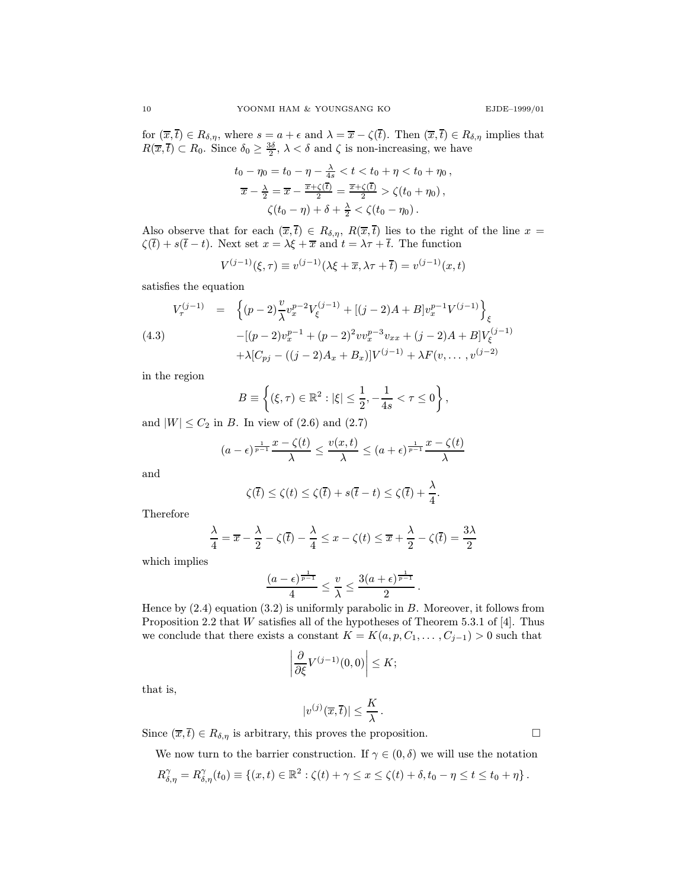for  $(\overline{x},\overline{t}) \in R_{\delta,\eta}$ , where  $s = a + \epsilon$  and  $\lambda = \overline{x} - \zeta(\overline{t})$ . Then  $(\overline{x},\overline{t}) \in R_{\delta,\eta}$  implies that  $R(\overline{x},\overline{t}) \subset R_0$ . Since  $\delta_0 \geq \frac{3\delta}{2}$ ,  $\lambda < \delta$  and  $\zeta$  is non-increasing, we have

$$
t_0 - \eta_0 = t_0 - \eta - \frac{\lambda}{4s} < t < t_0 + \eta < t_0 + \eta_0,
$$
\n
$$
\overline{x} - \frac{\lambda}{2} = \overline{x} - \frac{\overline{x} + \zeta(\overline{t})}{2} = \frac{\overline{x} + \zeta(\overline{t})}{2} > \zeta(t_0 + \eta_0),
$$
\n
$$
\zeta(t_0 - \eta) + \delta + \frac{\lambda}{2} < \zeta(t_0 - \eta_0).
$$

Also observe that for each  $(\overline{x},\overline{t}) \in R_{\delta,\eta}, R(\overline{x},\overline{t})$  lies to the right of the line  $x =$  $\zeta(\bar{t}) + s(\bar{t} - t)$ . Next set  $x = \lambda \xi + \bar{x}$  and  $t = \lambda \tau + \bar{t}$ . The function

$$
V^{(j-1)}(\xi, \tau) \equiv v^{(j-1)}(\lambda \xi + \overline{x}, \lambda \tau + \overline{t}) = v^{(j-1)}(x, t)
$$

satisfies the equation

$$
V_{\tau}^{(j-1)} = \left\{ (p-2) \frac{v}{\lambda} v_x^{p-2} V_{\xi}^{(j-1)} + [(j-2)A + B] v_x^{p-1} V^{(j-1)} \right\}_{\xi}
$$
  
(4.3)  

$$
-[(p-2) v_x^{p-1} + (p-2)^2 v v_x^{p-3} v_{xx} + (j-2)A + B] V_{\xi}^{(j-1)}
$$

$$
+ \lambda [C_{pj} - ((j-2)A_x + B_x)] V^{(j-1)} + \lambda F(v, \dots, v^{(j-2)})
$$

in the region

$$
B \equiv \left\{ (\xi, \tau) \in \mathbb{R}^2 : |\xi| \le \frac{1}{2}, -\frac{1}{4s} < \tau \le 0 \right\},\
$$

and  $|W| \leq C_2$  in B. In view of (2.6) and (2.7)

$$
(a - \epsilon)^{\frac{1}{p-1}} \frac{x - \zeta(t)}{\lambda} \le \frac{v(x, t)}{\lambda} \le (a + \epsilon)^{\frac{1}{p-1}} \frac{x - \zeta(t)}{\lambda}
$$

and

$$
\zeta(\overline{t}) \leq \zeta(t) \leq \zeta(\overline{t}) + s(\overline{t} - t) \leq \zeta(\overline{t}) + \frac{\lambda}{4}.
$$

Therefore

$$
\frac{\lambda}{4} = \overline{x} - \frac{\lambda}{2} - \zeta(\overline{t}) - \frac{\lambda}{4} \le x - \zeta(t) \le \overline{x} + \frac{\lambda}{2} - \zeta(\overline{t}) = \frac{3\lambda}{2}
$$

which implies

$$
\frac{(a-\epsilon)^{\frac{1}{p-1}}}{4} \leq \frac{v}{\lambda} \leq \frac{3(a+\epsilon)^{\frac{1}{p-1}}}{2}.
$$

Hence by (2.4) equation (3.2) is uniformly parabolic in B. Moreover, it follows from Proposition 2.2 that W satisfies all of the hypotheses of Theorem 5.3.1 of [4]. Thus we conclude that there exists a constant  $K = K(a, p, C_1, \ldots, C_{j-1}) > 0$  such that

$$
\left|\frac{\partial}{\partial \xi} V^{(j-1)}(0,0)\right| \leq K;
$$

that is,

$$
|v^{(j)}(\overline{x},\overline{t})| \leq \frac{K}{\lambda}.
$$

Since  $(\overline{x},\overline{t}) \in R_{\delta,\eta}$  is arbitrary, this proves the proposition.

We now turn to the barrier construction. If  $\gamma \in (0, \delta)$  we will use the notation

$$
R^{\gamma}_{\delta,\eta}=R^{\gamma}_{\delta,\eta}(t_0)\equiv \{(x,t)\in\mathbb{R}^2:\zeta(t)+\gamma\leq x\leq \zeta(t)+\delta,t_0-\eta\leq t\leq t_0+\eta\}\,.
$$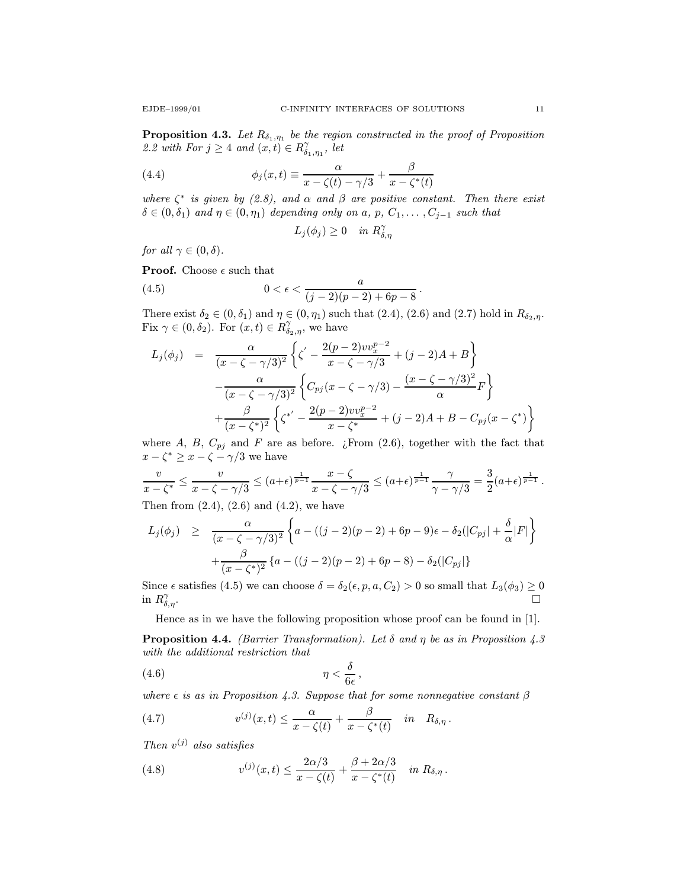**Proposition 4.3.** Let  $R_{\delta_1,\eta_1}$  be the region constructed in the proof of Proposition 2.2 with For  $j \geq 4$  and  $(x,t) \in R^{\gamma}_{\delta_1,\eta_1}$ , let

(4.4) 
$$
\phi_j(x,t) \equiv \frac{\alpha}{x - \zeta(t) - \gamma/3} + \frac{\beta}{x - \zeta^*(t)}
$$

where  $\zeta^*$  is given by (2.8), and  $\alpha$  and  $\beta$  are positive constant. Then there exist  $\delta \in (0, \delta_1)$  and  $\eta \in (0, \eta_1)$  depending only on a, p,  $C_1, \ldots, C_{j-1}$  such that

$$
L_j(\phi_j) \ge 0 \quad in \; R^{\gamma}_{\delta,\eta}
$$

for all  $\gamma \in (0, \delta)$ .

**Proof.** Choose  $\epsilon$  such that

(4.5) 
$$
0 < \epsilon < \frac{a}{(j-2)(p-2)+6p-8}.
$$

There exist  $\delta_2 \in (0, \delta_1)$  and  $\eta \in (0, \eta_1)$  such that  $(2.4), (2.6)$  and  $(2.7)$  hold in  $R_{\delta_2, \eta}$ . Fix  $\gamma \in (0, \delta_2)$ . For  $(x, t) \in R^{\gamma}_{\delta_2, \eta}$ , we have

$$
L_j(\phi_j) = \frac{\alpha}{(x - \zeta - \gamma/3)^2} \left\{ \zeta' - \frac{2(p-2)vv_x^{p-2}}{x - \zeta - \gamma/3} + (j-2)A + B \right\}
$$

$$
- \frac{\alpha}{(x - \zeta - \gamma/3)^2} \left\{ C_{pj}(x - \zeta - \gamma/3) - \frac{(x - \zeta - \gamma/3)^2}{\alpha} F \right\}
$$

$$
+ \frac{\beta}{(x - \zeta^*)^2} \left\{ \zeta^{*'} - \frac{2(p-2)vv_x^{p-2}}{x - \zeta^*} + (j-2)A + B - C_{pj}(x - \zeta^*) \right\}
$$

where A, B,  $C_{pj}$  and F are as before. ¿From (2.6), together with the fact that  $x - \zeta^* \geq x - \zeta - \gamma/3$  we have

$$
\frac{v}{x-\zeta^*} \le \frac{v}{x-\zeta-\gamma/3} \le (a+\epsilon)^{\frac{1}{p-1}} \frac{x-\zeta}{x-\zeta-\gamma/3} \le (a+\epsilon)^{\frac{1}{p-1}} \frac{\gamma}{\gamma-\gamma/3} = \frac{3}{2}(a+\epsilon)^{\frac{1}{p-1}}.
$$
  
Then from (2.4), (2.6) and (4.2), we have

Then from  $(2.4)$ ,  $(2.6)$  and  $(4.2)$ , we have

$$
L_j(\phi_j) \geq \frac{\alpha}{(x - \zeta - \gamma/3)^2} \left\{ a - ((j - 2)(p - 2) + 6p - 9)\epsilon - \delta_2(|C_{pj}| + \frac{\delta}{\alpha}|F| \right\} + \frac{\beta}{(x - \zeta^*)^2} \left\{ a - ((j - 2)(p - 2) + 6p - 8) - \delta_2(|C_{pj}| \right\}
$$

Since  $\epsilon$  satisfies (4.5) we can choose  $\delta = \delta_2(\epsilon, p, a, C_2) > 0$  so small that  $L_3(\phi_3) \geq 0$ in  $R^{\gamma}_{\delta,\eta}$ .  $\alpha_{\delta,\eta}$ .

Hence as in we have the following proposition whose proof can be found in [1].

**Proposition 4.4.** (Barrier Transformation). Let  $\delta$  and  $\eta$  be as in Proposition 4.3 with the additional restriction that

$$
(4.6) \t\t \eta < \frac{\delta}{6\epsilon},
$$

where  $\epsilon$  is as in Proposition 4.3. Suppose that for some nonnegative constant  $\beta$ 

(4.7) 
$$
v^{(j)}(x,t) \leq \frac{\alpha}{x-\zeta(t)} + \frac{\beta}{x-\zeta^*(t)} \quad in \quad R_{\delta,\eta}.
$$

Then  $v^{(j)}$  also satisfies

(4.8) 
$$
v^{(j)}(x,t) \leq \frac{2\alpha/3}{x-\zeta(t)} + \frac{\beta+2\alpha/3}{x-\zeta^*(t)} \quad in \, R_{\delta,\eta} \, .
$$